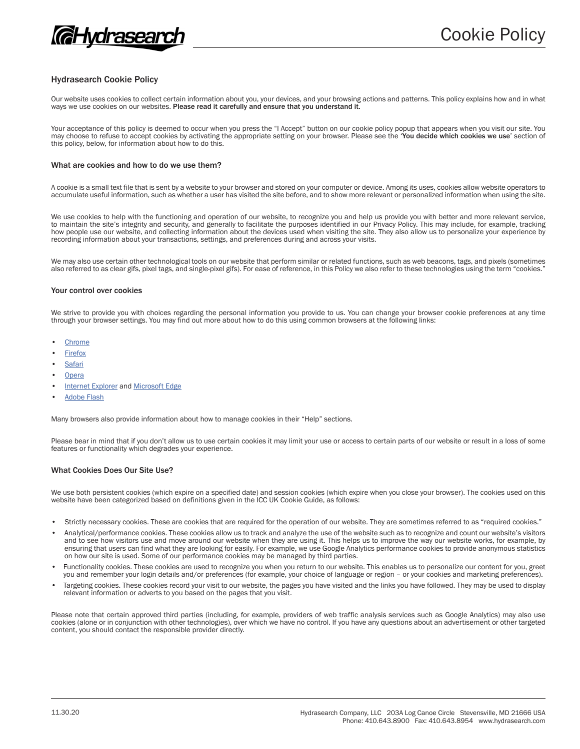

# Hydrasearch Cookie Policy

Our website uses cookies to collect certain information about you, your devices, and your browsing actions and patterns. This policy explains how and in what ways we use cookies on our websites. Please read it carefully and ensure that you understand it.

Your acceptance of this policy is deemed to occur when you press the "I Accept" button on our cookie policy popup that appears when you visit our site. You may choose to refuse to accept cookies by activating the appropriate setting on your browser. Please see the 'You decide which cookies we use' section of this policy, below, for information about how to do this.

# What are cookies and how to do we use them?

A cookie is a small text file that is sent by a website to your browser and stored on your computer or device. Among its uses, cookies allow website operators to accumulate useful information, such as whether a user has visited the site before, and to show more relevant or personalized information when using the site.

We use cookies to help with the functioning and operation of our website, to recognize you and help us provide you with better and more relevant service, to maintain the site's integrity and security, and generally to facilitate the purposes identified in our Privacy Policy. This may include, for example, tracking how people use our website, and collecting information about the devices used when visiting the site. They also allow us to personalize your experience by recording information about your transactions, settings, and preferences during and across your visits.

We may also use certain other technological tools on our website that perform similar or related functions, such as web beacons, tags, and pixels (sometimes also referred to as clear gifs, pixel tags, and single-pixel gifs). For ease of reference, in this Policy we also refer to these technologies using the term "cookies."

#### Your control over cookies

We strive to provide you with choices regarding the personal information you provide to us. You can change your browser cookie preferences at any time through your browser settings. You may find out more about how to do this using common browsers at the following links:

- **Chrome**
- **Firefox**
- **Safari**
- **Opera**
- Internet Explorer and Microsoft Edge
- **Adobe Flash**

Many browsers also provide information about how to manage cookies in their "Help" sections.

Please bear in mind that if you don't allow us to use certain cookies it may limit your use or access to certain parts of our website or result in a loss of some features or functionality which degrades your experience.

### What Cookies Does Our Site Use?

We use both persistent cookies (which expire on a specified date) and session cookies (which expire when you close your browser). The cookies used on this website have been categorized based on definitions given in the ICC UK Cookie Guide, as follows:

- Strictly necessary cookies. These are cookies that are required for the operation of our website. They are sometimes referred to as "required cookies."
- Analytical/performance cookies. These cookies allow us to track and analyze the use of the website such as to recognize and count our website's visitors and to see how visitors use and move around our website when they are using it. This helps us to improve the way our website works, for example, by ensuring that users can find what they are looking for easily. For example, we use Google Analytics performance cookies to provide anonymous statistics on how our site is used. Some of our performance cookies may be managed by third parties.
- Functionality cookies. These cookies are used to recognize you when you return to our website. This enables us to personalize our content for you, greet you and remember your login details and/or preferences (for example, your choice of language or region – or your cookies and marketing preferences).
- Targeting cookies. These cookies record your visit to our website, the pages you have visited and the links you have followed. They may be used to display relevant information or adverts to you based on the pages that you visit.

Please note that certain approved third parties (including, for example, providers of web traffic analysis services such as Google Analytics) may also use cookies (alone or in conjunction with other technologies), over which we have no control. If you have any questions about an advertisement or other targeted content, you should contact the responsible provider directly.